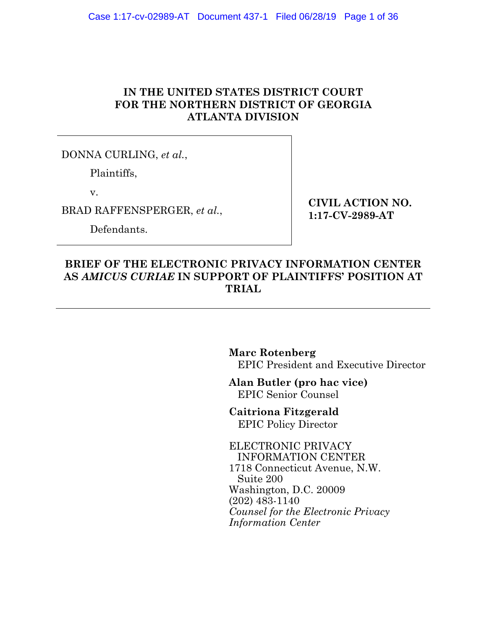# **IN THE UNITED STATES DISTRICT COURT FOR THE NORTHERN DISTRICT OF GEORGIA ATLANTA DIVISION**

DONNA CURLING, *et al.*,

Plaintiffs,

v.

BRAD RAFFENSPERGER, *et al.*,

Defendants.

**CIVIL ACTION NO. 1:17-CV-2989-AT** 

### **BRIEF OF THE ELECTRONIC PRIVACY INFORMATION CENTER AS** *AMICUS CURIAE* **IN SUPPORT OF PLAINTIFFS' POSITION AT TRIAL**

**Marc Rotenberg** EPIC President and Executive Director

**Alan Butler (pro hac vice)** EPIC Senior Counsel

**Caitriona Fitzgerald** EPIC Policy Director

ELECTRONIC PRIVACY INFORMATION CENTER 1718 Connecticut Avenue, N.W. Suite 200 Washington, D.C. 20009 (202) 483-1140 *Counsel for the Electronic Privacy Information Center*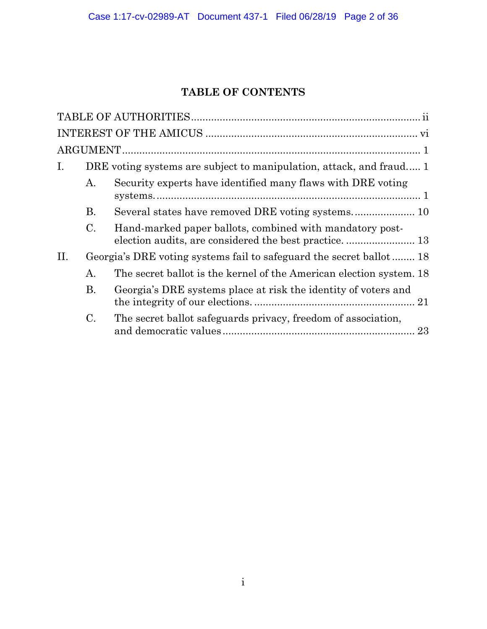# **TABLE OF CONTENTS**

| $I_{\cdot}$ |    | DRE voting systems are subject to manipulation, attack, and fraud 1 |  |  |  |
|-------------|----|---------------------------------------------------------------------|--|--|--|
|             | А. | Security experts have identified many flaws with DRE voting         |  |  |  |
|             | Β. |                                                                     |  |  |  |
|             | C. | Hand-marked paper ballots, combined with mandatory post-            |  |  |  |
| II.         |    | Georgia's DRE voting systems fail to safeguard the secret ballot 18 |  |  |  |
|             | А. | The secret ballot is the kernel of the American election system. 18 |  |  |  |
|             | Β. | Georgia's DRE systems place at risk the identity of voters and      |  |  |  |
|             | C. | The secret ballot safeguards privacy, freedom of association,<br>23 |  |  |  |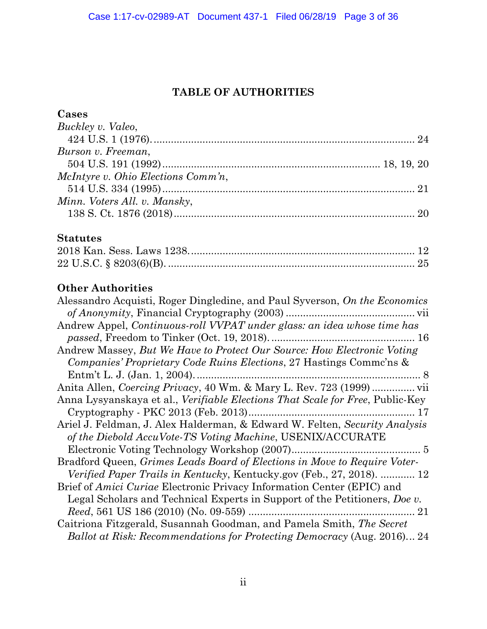# **TABLE OF AUTHORITIES**

# **Cases**

| Buckley v. Valeo,                                                                     |
|---------------------------------------------------------------------------------------|
|                                                                                       |
| Burson v. Freeman,                                                                    |
|                                                                                       |
| McIntyre v. Ohio Elections Comm'n,                                                    |
|                                                                                       |
| Minn. Voters All. v. Mansky,                                                          |
|                                                                                       |
| <b>Statutes</b>                                                                       |
|                                                                                       |
|                                                                                       |
| <b>Other Authorities</b>                                                              |
| Alessandro Acquisti, Roger Dingledine, and Paul Syverson, On the Economics            |
|                                                                                       |
| Andrew Appel, Continuous-roll VVPAT under glass: an idea whose time has               |
|                                                                                       |
| Andrew Massey, But We Have to Protect Our Source: How Electronic Voting               |
| Companies' Proprietary Code Ruins Elections, 27 Hastings Comme'ns &                   |
|                                                                                       |
|                                                                                       |
| Anna Lysyanskaya et al., <i>Verifiable Elections That Scale for Free</i> , Public-Key |
|                                                                                       |
| Ariel J. Feldman, J. Alex Halderman, & Edward W. Felten, Security Analysis            |
| of the Diebold AccuVote-TS Voting Machine, USENIX/ACCURATE                            |
|                                                                                       |
| Bradford Queen, Grimes Leads Board of Elections in Move to Require Voter-             |
| Verified Paper Trails in Kentucky, Kentucky.gov (Feb., 27, 2018).  12                 |
| Brief of Amici Curiae Electronic Privacy Information Center (EPIC) and                |
| Legal Scholars and Technical Experts in Support of the Petitioners, Doe v.            |
|                                                                                       |

Caitriona Fitzgerald, Susannah Goodman, and Pamela Smith, *The Secret Ballot at Risk: Recommendations for Protecting Democracy* (Aug. 2016)... 24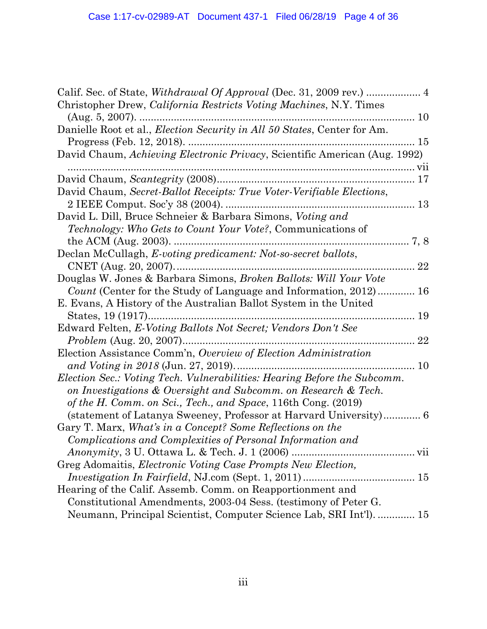| Christopher Drew, <i>California Restricts Voting Machines</i> , N.Y. Times<br>$(Aug. 5, 2007)$ .<br>10 |      |
|--------------------------------------------------------------------------------------------------------|------|
| Danielle Root et al., <i>Election Security in All 50 States</i> , Center for Am.                       |      |
| Progress (Feb. 12, 2018).                                                                              | 15   |
| David Chaum, Achieving Electronic Privacy, Scientific American (Aug. 1992)                             |      |
|                                                                                                        |      |
| David Chaum, Secret-Ballot Receipts: True Voter-Verifiable Elections,                                  |      |
| 2 IEEE Comput. Soc'y 38 (2004).<br>13                                                                  |      |
| David L. Dill, Bruce Schneier & Barbara Simons, Voting and                                             |      |
| <i>Technology: Who Gets to Count Your Vote?, Communications of</i>                                     |      |
| the ACM (Aug. $2003$ ).                                                                                | 7, 8 |
| Declan McCullagh, E-voting predicament: Not-so-secret ballots,                                         |      |
|                                                                                                        | 22   |
| Douglas W. Jones & Barbara Simons, <i>Broken Ballots: Will Your Vote</i>                               |      |
| Count (Center for the Study of Language and Information, 2012)                                         | 16   |
| E. Evans, A History of the Australian Ballot System in the United                                      |      |
| States, 19 (1917)                                                                                      | 19   |
| Edward Felten, E-Voting Ballots Not Secret; Vendors Don't See                                          |      |
| <i>Problem</i> (Aug. 20, 2007)                                                                         | 22   |
| Election Assistance Comm'n, Overview of Election Administration                                        |      |
| and Voting in 2018 (Jun. 27, 2019)                                                                     | 10   |
| Election Sec.: Voting Tech. Vulnerabilities: Hearing Before the Subcomm.                               |      |
| on Investigations & Oversight and Subcomm. on Research & Tech.                                         |      |
| of the H. Comm. on Sci., Tech., and Space, 116th Cong. (2019)                                          |      |
| (statement of Latanya Sweeney, Professor at Harvard University) 6                                      |      |
| Gary T. Marx, What's in a Concept? Some Reflections on the                                             |      |
| Complications and Complexities of Personal Information and                                             |      |
|                                                                                                        |      |
| Greg Adomaitis, Electronic Voting Case Prompts New Election,                                           |      |
|                                                                                                        |      |
| Hearing of the Calif. Assemb. Comm. on Reapportionment and                                             |      |
| Constitutional Amendments, 2003-04 Sess. (testimony of Peter G.                                        |      |
| Neumann, Principal Scientist, Computer Science Lab, SRI Int'l).  15                                    |      |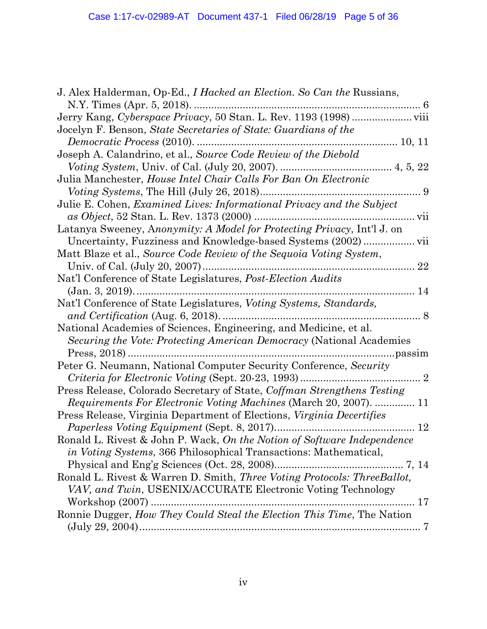| J. Alex Halderman, Op-Ed., <i>I Hacked an Election.</i> So Can the Russians, |
|------------------------------------------------------------------------------|
|                                                                              |
|                                                                              |
| Jocelyn F. Benson, State Secretaries of State: Guardians of the              |
| Democratic Process (2010).                                                   |
| Joseph A. Calandrino, et al., Source Code Review of the Diebold              |
|                                                                              |
| Julia Manchester, House Intel Chair Calls For Ban On Electronic              |
|                                                                              |
| Julie E. Cohen, <i>Examined Lives: Informational Privacy and the Subject</i> |
|                                                                              |
| Latanya Sweeney, Anonymity: A Model for Protecting Privacy, Int'l J. on      |
| Uncertainty, Fuzziness and Knowledge-based Systems (2002)  vii               |
| Matt Blaze et al., Source Code Review of the Sequoia Voting System,          |
|                                                                              |
| Nat'l Conference of State Legislatures, <i>Post-Election Audits</i>          |
| 14<br>Nat'l Conference of State Legislatures, Voting Systems, Standards,     |
|                                                                              |
| National Academies of Sciences, Engineering, and Medicine, et al.            |
| Securing the Vote: Protecting American Democracy (National Academies         |
|                                                                              |
| Peter G. Neumann, National Computer Security Conference, Security            |
|                                                                              |
| Press Release, Colorado Secretary of State, Coffman Strengthens Testing      |
| <i>Requirements For Electronic Voting Machines</i> (March 20, 2007).  11     |
| Press Release, Virginia Department of Elections, Virginia Decertifies        |
|                                                                              |
| Ronald L. Rivest & John P. Wack, On the Notion of Software Independence      |
| <i>in Voting Systems, 366 Philosophical Transactions: Mathematical,</i>      |
|                                                                              |
| Ronald L. Rivest & Warren D. Smith, Three Voting Protocols: ThreeBallot,     |
| VAV, and Twin, USENIX/ACCURATE Electronic Voting Technology                  |
|                                                                              |
| Ronnie Dugger, How They Could Steal the Election This Time, The Nation       |
|                                                                              |
|                                                                              |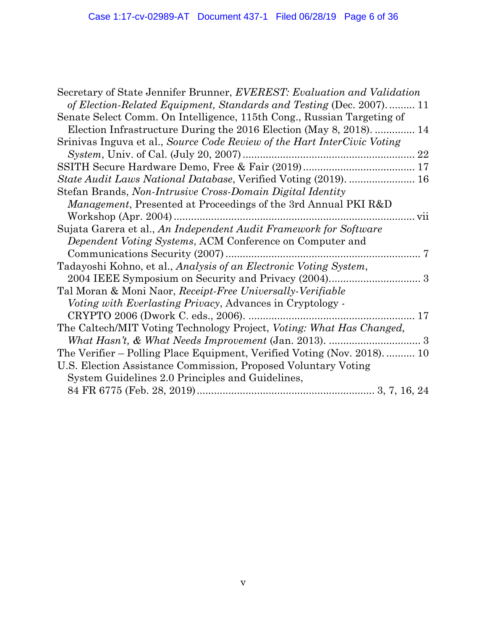| Secretary of State Jennifer Brunner, EVEREST: Evaluation and Validation  |
|--------------------------------------------------------------------------|
| of Election-Related Equipment, Standards and Testing (Dec. 2007) 11      |
| Senate Select Comm. On Intelligence, 115th Cong., Russian Targeting of   |
| Election Infrastructure During the 2016 Election (May 8, 2018).  14      |
| Srinivas Inguva et al., Source Code Review of the Hart InterCivic Voting |
| <i>System</i> , Univ. of Cal. (July 20, 2007).                           |
|                                                                          |
| State Audit Laws National Database, Verified Voting (2019).  16          |
| Stefan Brands, Non-Intrusive Cross-Domain Digital Identity               |
| <i>Management</i> , Presented at Proceedings of the 3rd Annual PKI R&D   |
| Workshop (Apr. 2004)                                                     |
| Sujata Garera et al., An Independent Audit Framework for Software        |
| <i>Dependent Voting Systems, ACM Conference on Computer and</i>          |
| 7                                                                        |
| Tadayoshi Kohno, et al., Analysis of an Electronic Voting System,        |
|                                                                          |
| Tal Moran & Moni Naor, Receipt-Free Universally-Verifiable               |
| Voting with Everlasting Privacy, Advances in Cryptology -                |
| CRYPTO 2006 (Dwork C. eds., 2006).<br>17                                 |
| The Caltech/MIT Voting Technology Project, Voting: What Has Changed,     |
|                                                                          |
| The Verifier – Polling Place Equipment, Verified Voting (Nov. 2018) 10   |
| U.S. Election Assistance Commission, Proposed Voluntary Voting           |
| System Guidelines 2.0 Principles and Guidelines,                         |
|                                                                          |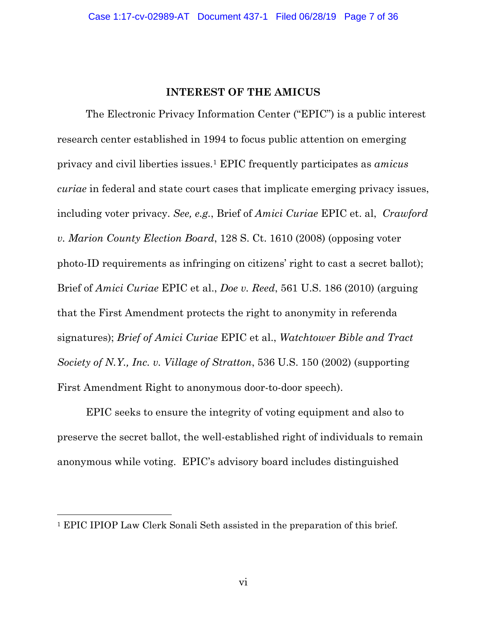#### **INTEREST OF THE AMICUS**

The Electronic Privacy Information Center ("EPIC") is a public interest research center established in 1994 to focus public attention on emerging privacy and civil liberties issues.1 EPIC frequently participates as *amicus curiae* in federal and state court cases that implicate emerging privacy issues, including voter privacy. *See, e.g.*, Brief of *Amici Curiae* EPIC et. al, *Crawford v. Marion County Election Board*, 128 S. Ct. 1610 (2008) (opposing voter photo-ID requirements as infringing on citizens' right to cast a secret ballot); Brief of *Amici Curiae* EPIC et al., *Doe v. Reed*, 561 U.S. 186 (2010) (arguing that the First Amendment protects the right to anonymity in referenda signatures); *Brief of Amici Curiae* EPIC et al., *Watchtower Bible and Tract Society of N.Y., Inc. v. Village of Stratton*, 536 U.S. 150 (2002) (supporting First Amendment Right to anonymous door-to-door speech).

EPIC seeks to ensure the integrity of voting equipment and also to preserve the secret ballot, the well-established right of individuals to remain anonymous while voting. EPIC's advisory board includes distinguished

<sup>1</sup> EPIC IPIOP Law Clerk Sonali Seth assisted in the preparation of this brief.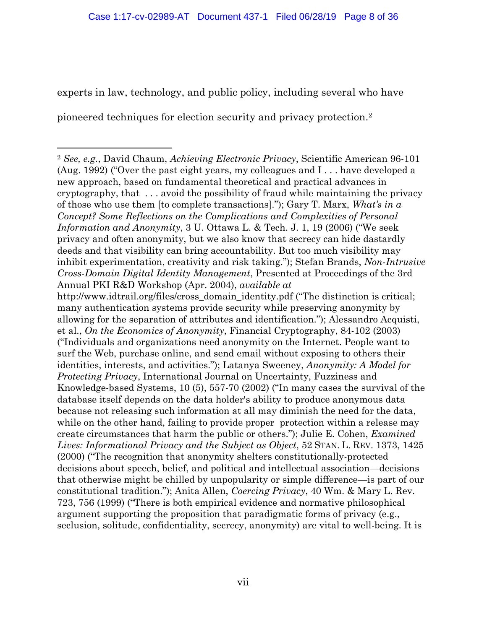experts in law, technology, and public policy, including several who have

pioneered techniques for election security and privacy protection.2

 <sup>2</sup> *See, e.g.*, David Chaum, *Achieving Electronic Privacy*, Scientific American 96-101 (Aug. 1992) ("Over the past eight years, my colleagues and I . . . have developed a new approach, based on fundamental theoretical and practical advances in cryptography, that . . . avoid the possibility of fraud while maintaining the privacy of those who use them [to complete transactions]."); Gary T. Marx, *What's in a Concept? Some Reflections on the Complications and Complexities of Personal Information and Anonymity*, 3 U. Ottawa L. & Tech. J. 1, 19 (2006) ("We seek privacy and often anonymity, but we also know that secrecy can hide dastardly deeds and that visibility can bring accountability. But too much visibility may inhibit experimentation, creativity and risk taking."); Stefan Brands, *Non-Intrusive Cross-Domain Digital Identity Management*, Presented at Proceedings of the 3rd Annual PKI R&D Workshop (Apr. 2004), *available at* http://www.idtrail.org/files/cross\_domain\_identity.pdf ("The distinction is critical; many authentication systems provide security while preserving anonymity by allowing for the separation of attributes and identification."); Alessandro Acquisti, et al., *On the Economics of Anonymity*, Financial Cryptography, 84-102 (2003) ("Individuals and organizations need anonymity on the Internet. People want to surf the Web, purchase online, and send email without exposing to others their identities, interests, and activities."); Latanya Sweeney, *Anonymity: A Model for Protecting Privacy*, International Journal on Uncertainty, Fuzziness and Knowledge-based Systems, 10 (5), 557-70 (2002) ("In many cases the survival of the database itself depends on the data holder's ability to produce anonymous data because not releasing such information at all may diminish the need for the data, while on the other hand, failing to provide proper protection within a release may create circumstances that harm the public or others."); Julie E. Cohen, *Examined Lives: Informational Privacy and the Subject as Object*, 52 STAN. L. REV. 1373, 1425 (2000) ("The recognition that anonymity shelters constitutionally-protected decisions about speech, belief, and political and intellectual association—decisions that otherwise might be chilled by unpopularity or simple difference—is part of our

constitutional tradition."); Anita Allen, *Coercing Privacy*, 40 Wm. & Mary L. Rev. 723, 756 (1999) ("There is both empirical evidence and normative philosophical argument supporting the proposition that paradigmatic forms of privacy (e.g., seclusion, solitude, confidentiality, secrecy, anonymity) are vital to well-being. It is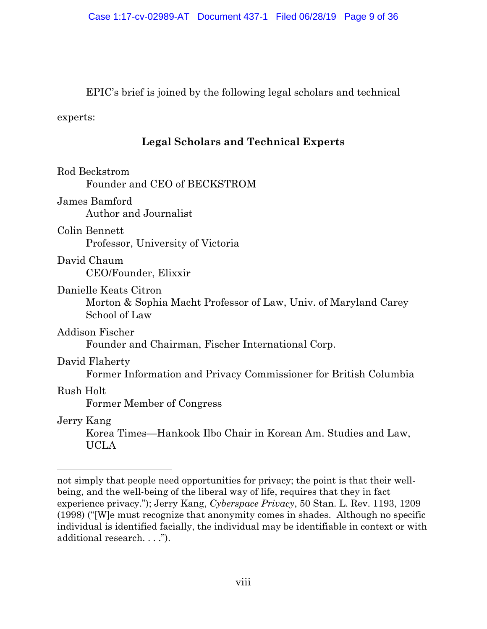EPIC's brief is joined by the following legal scholars and technical

experts:

# **Legal Scholars and Technical Experts**

| Rod Beckstrom<br>Founder and CEO of BECKSTROM                                                             |
|-----------------------------------------------------------------------------------------------------------|
| James Bamford<br><b>Author and Journalist</b>                                                             |
| Colin Bennett<br>Professor, University of Victoria                                                        |
| David Chaum<br>CEO/Founder, Elixxir                                                                       |
| Danielle Keats Citron<br>Morton & Sophia Macht Professor of Law, Univ. of Maryland Carey<br>School of Law |
| Addison Fischer<br>Founder and Chairman, Fischer International Corp.                                      |
| David Flaherty<br>Former Information and Privacy Commissioner for British Columbia                        |
| Rush Holt<br>Former Member of Congress                                                                    |
| Jerry Kang<br>Korea Times—Hankook Ilbo Chair in Korean Am. Studies and Law,<br><b>UCLA</b>                |

not simply that people need opportunities for privacy; the point is that their wellbeing, and the well-being of the liberal way of life, requires that they in fact experience privacy."); Jerry Kang, *Cyberspace Privacy*, 50 Stan. L. Rev. 1193, 1209 (1998) ("[W]e must recognize that anonymity comes in shades. Although no specific individual is identified facially, the individual may be identifiable in context or with additional research. . . .").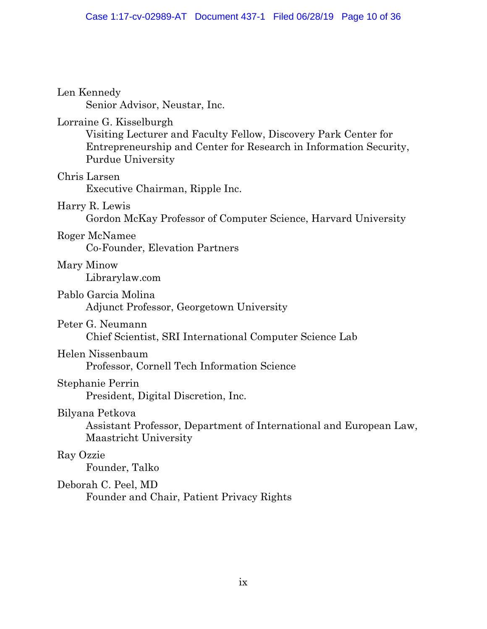| Len Kennedy<br>Senior Advisor, Neustar, Inc.                                                                                                                                                |
|---------------------------------------------------------------------------------------------------------------------------------------------------------------------------------------------|
| Lorraine G. Kisselburgh<br>Visiting Lecturer and Faculty Fellow, Discovery Park Center for<br>Entrepreneurship and Center for Research in Information Security,<br><b>Purdue University</b> |
| Chris Larsen<br>Executive Chairman, Ripple Inc.                                                                                                                                             |
| Harry R. Lewis<br>Gordon McKay Professor of Computer Science, Harvard University                                                                                                            |
| Roger McNamee<br>Co-Founder, Elevation Partners                                                                                                                                             |
| Mary Minow<br>Librarylaw.com                                                                                                                                                                |
| Pablo Garcia Molina<br>Adjunct Professor, Georgetown University                                                                                                                             |
| Peter G. Neumann<br>Chief Scientist, SRI International Computer Science Lab                                                                                                                 |
| Helen Nissenbaum<br>Professor, Cornell Tech Information Science                                                                                                                             |
| Stephanie Perrin<br>President, Digital Discretion, Inc.                                                                                                                                     |
| Bilyana Petkova<br>Assistant Professor, Department of International and European Law,<br>Maastricht University                                                                              |
| Ray Ozzie<br>Founder, Talko                                                                                                                                                                 |
| Deborah C. Peel, MD<br>Founder and Chair, Patient Privacy Rights                                                                                                                            |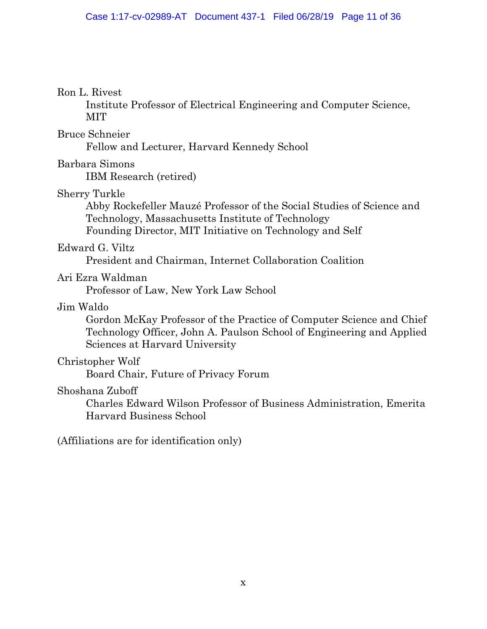#### Ron L. Rivest

Institute Professor of Electrical Engineering and Computer Science, MIT

#### Bruce Schneier

Fellow and Lecturer, Harvard Kennedy School

### Barbara Simons

IBM Research (retired)

# Sherry Turkle

Abby Rockefeller Mauzé Professor of the Social Studies of Science and Technology, Massachusetts Institute of Technology Founding Director, MIT Initiative on Technology and Self

### Edward G. Viltz

President and Chairman, Internet Collaboration Coalition

# Ari Ezra Waldman

Professor of Law, New York Law School

# Jim Waldo

Gordon McKay Professor of the Practice of Computer Science and Chief Technology Officer, John A. Paulson School of Engineering and Applied Sciences at Harvard University

# Christopher Wolf

Board Chair, Future of Privacy Forum

#### Shoshana Zuboff

Charles Edward Wilson Professor of Business Administration, Emerita Harvard Business School

(Affiliations are for identification only)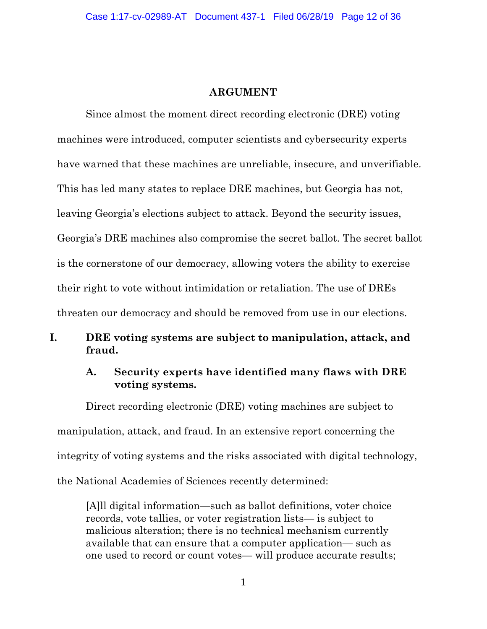#### **ARGUMENT**

Since almost the moment direct recording electronic (DRE) voting machines were introduced, computer scientists and cybersecurity experts have warned that these machines are unreliable, insecure, and unverifiable. This has led many states to replace DRE machines, but Georgia has not, leaving Georgia's elections subject to attack. Beyond the security issues, Georgia's DRE machines also compromise the secret ballot. The secret ballot is the cornerstone of our democracy, allowing voters the ability to exercise their right to vote without intimidation or retaliation. The use of DREs threaten our democracy and should be removed from use in our elections.

# **I. DRE voting systems are subject to manipulation, attack, and fraud.**

### **A. Security experts have identified many flaws with DRE voting systems.**

Direct recording electronic (DRE) voting machines are subject to manipulation, attack, and fraud. In an extensive report concerning the integrity of voting systems and the risks associated with digital technology, the National Academies of Sciences recently determined:

[A]ll digital information—such as ballot definitions, voter choice records, vote tallies, or voter registration lists— is subject to malicious alteration; there is no technical mechanism currently available that can ensure that a computer application— such as one used to record or count votes— will produce accurate results;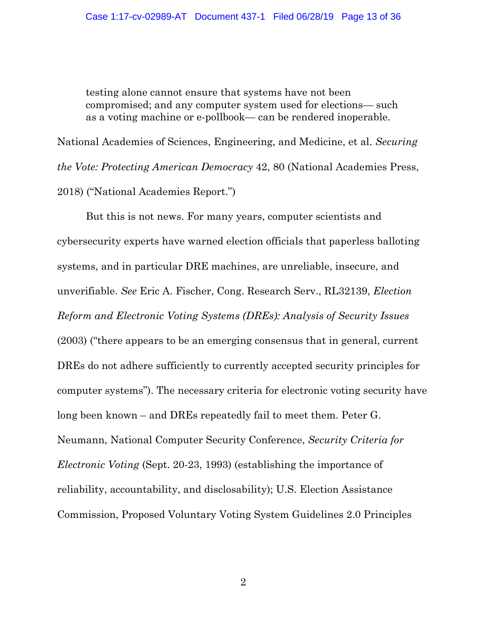testing alone cannot ensure that systems have not been compromised; and any computer system used for elections— such as a voting machine or e-pollbook— can be rendered inoperable.

National Academies of Sciences, Engineering, and Medicine, et al. *Securing the Vote: Protecting American Democracy* 42, 80 (National Academies Press, 2018) ("National Academies Report.")

But this is not news. For many years, computer scientists and cybersecurity experts have warned election officials that paperless balloting systems, and in particular DRE machines, are unreliable, insecure, and unverifiable. *See* Eric A. Fischer, Cong. Research Serv., RL32139, *Election Reform and Electronic Voting Systems (DREs): Analysis of Security Issues* (2003) ("there appears to be an emerging consensus that in general, current DREs do not adhere sufficiently to currently accepted security principles for computer systems"). The necessary criteria for electronic voting security have long been known – and DREs repeatedly fail to meet them. Peter G. Neumann, National Computer Security Conference, *Security Criteria for Electronic Voting* (Sept. 20-23, 1993) (establishing the importance of reliability, accountability, and disclosability); U.S. Election Assistance Commission, Proposed Voluntary Voting System Guidelines 2.0 Principles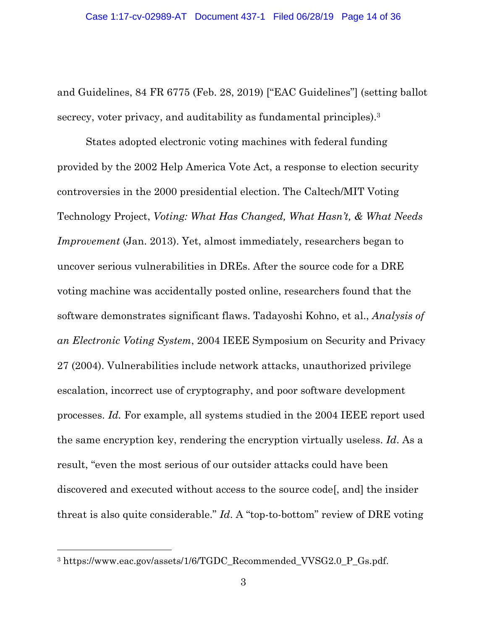and Guidelines, 84 FR 6775 (Feb. 28, 2019) ["EAC Guidelines"] (setting ballot secrecy, voter privacy, and auditability as fundamental principles).<sup>3</sup>

States adopted electronic voting machines with federal funding provided by the 2002 Help America Vote Act, a response to election security controversies in the 2000 presidential election. The Caltech/MIT Voting Technology Project, *Voting: What Has Changed, What Hasn't, & What Needs Improvement* (Jan. 2013). Yet, almost immediately, researchers began to uncover serious vulnerabilities in DREs. After the source code for a DRE voting machine was accidentally posted online, researchers found that the software demonstrates significant flaws. Tadayoshi Kohno, et al., *Analysis of an Electronic Voting System*, 2004 IEEE Symposium on Security and Privacy 27 (2004). Vulnerabilities include network attacks, unauthorized privilege escalation, incorrect use of cryptography, and poor software development processes. *Id.* For example, all systems studied in the 2004 IEEE report used the same encryption key, rendering the encryption virtually useless. *Id*. As a result, "even the most serious of our outsider attacks could have been discovered and executed without access to the source code[, and] the insider threat is also quite considerable." *Id*. A "top-to-bottom" review of DRE voting

<sup>&</sup>lt;sup>3</sup> https://www.eac.gov/assets/1/6/TGDC\_Recommended\_VVSG2.0\_P\_Gs.pdf.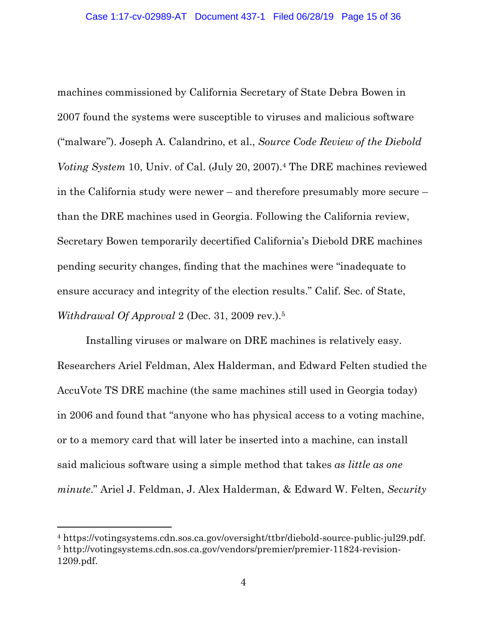machines commissioned by California Secretary of State Debra Bowen in 2007 found the systems were susceptible to viruses and malicious software ("malware"). Joseph A. Calandrino, et al., *Source Code Review of the Diebold Voting System* 10, Univ. of Cal. (July 20, 2007).4 The DRE machines reviewed in the California study were newer – and therefore presumably more secure – than the DRE machines used in Georgia. Following the California review, Secretary Bowen temporarily decertified California's Diebold DRE machines pending security changes, finding that the machines were "inadequate to ensure accuracy and integrity of the election results." Calif. Sec. of State, *Withdrawal Of Approval* 2 (Dec. 31, 2009 rev.).5

Installing viruses or malware on DRE machines is relatively easy. Researchers Ariel Feldman, Alex Halderman, and Edward Felten studied the AccuVote TS DRE machine (the same machines still used in Georgia today) in 2006 and found that "anyone who has physical access to a voting machine, or to a memory card that will later be inserted into a machine, can install said malicious software using a simple method that takes *as little as one minute*." Ariel J. Feldman, J. Alex Halderman, & Edward W. Felten, *Security* 

<sup>4</sup> https://votingsystems.cdn.sos.ca.gov/oversight/ttbr/diebold-source-public-jul29.pdf. <sup>5</sup> http://votingsystems.cdn.sos.ca.gov/vendors/premier/premier-11824-revision-1209.pdf.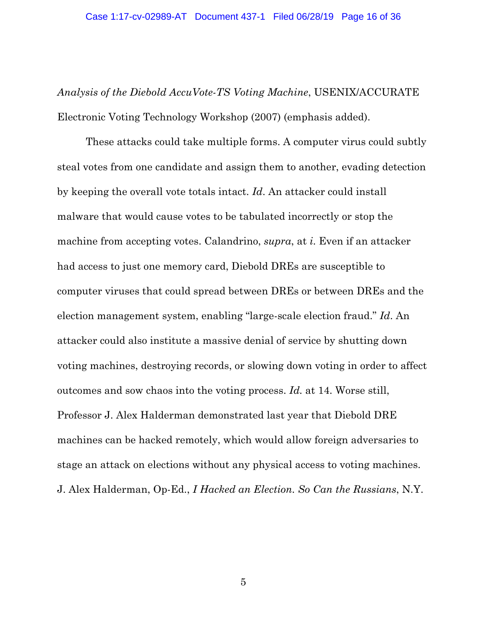*Analysis of the Diebold AccuVote-TS Voting Machine*, USENIX/ACCURATE Electronic Voting Technology Workshop (2007) (emphasis added).

These attacks could take multiple forms. A computer virus could subtly steal votes from one candidate and assign them to another, evading detection by keeping the overall vote totals intact. *Id*. An attacker could install malware that would cause votes to be tabulated incorrectly or stop the machine from accepting votes. Calandrino, *supra*, at *i*. Even if an attacker had access to just one memory card, Diebold DREs are susceptible to computer viruses that could spread between DREs or between DREs and the election management system, enabling "large-scale election fraud." *Id*. An attacker could also institute a massive denial of service by shutting down voting machines, destroying records, or slowing down voting in order to affect outcomes and sow chaos into the voting process. *Id.* at 14. Worse still, Professor J. Alex Halderman demonstrated last year that Diebold DRE machines can be hacked remotely, which would allow foreign adversaries to stage an attack on elections without any physical access to voting machines. J. Alex Halderman, Op-Ed., *I Hacked an Election. So Can the Russians*, N.Y.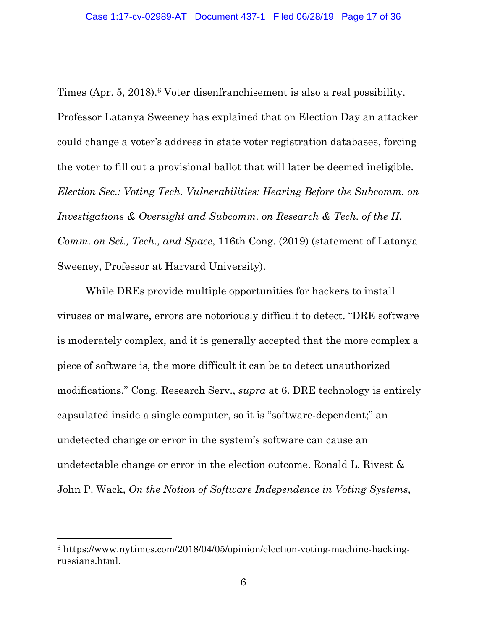Times (Apr. 5, 2018).<sup>6</sup> Voter disenfranchisement is also a real possibility. Professor Latanya Sweeney has explained that on Election Day an attacker could change a voter's address in state voter registration databases, forcing the voter to fill out a provisional ballot that will later be deemed ineligible. *Election Sec.: Voting Tech. Vulnerabilities: Hearing Before the Subcomm. on Investigations & Oversight and Subcomm. on Research & Tech. of the H. Comm. on Sci., Tech., and Space*, 116th Cong. (2019) (statement of Latanya Sweeney, Professor at Harvard University).

While DREs provide multiple opportunities for hackers to install viruses or malware, errors are notoriously difficult to detect. "DRE software is moderately complex, and it is generally accepted that the more complex a piece of software is, the more difficult it can be to detect unauthorized modifications." Cong. Research Serv., *supra* at 6. DRE technology is entirely capsulated inside a single computer, so it is "software-dependent;" an undetected change or error in the system's software can cause an undetectable change or error in the election outcome. Ronald L. Rivest & John P. Wack, *On the Notion of Software Independence in Voting Systems*,

<sup>6</sup> https://www.nytimes.com/2018/04/05/opinion/election-voting-machine-hackingrussians.html.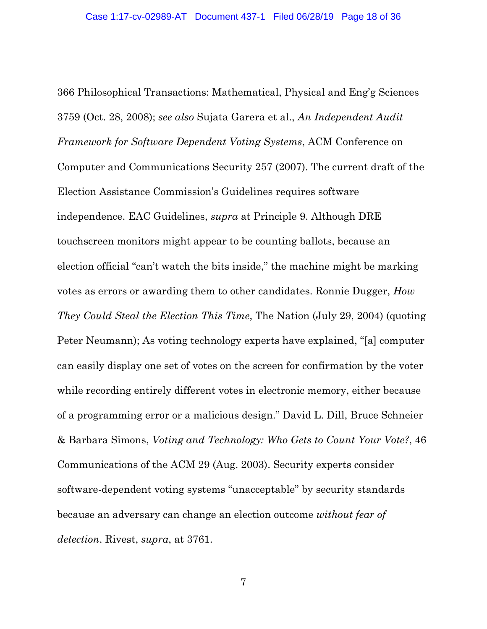366 Philosophical Transactions: Mathematical, Physical and Eng'g Sciences 3759 (Oct. 28, 2008); *see also* Sujata Garera et al., *An Independent Audit Framework for Software Dependent Voting Systems*, ACM Conference on Computer and Communications Security 257 (2007). The current draft of the Election Assistance Commission's Guidelines requires software independence. EAC Guidelines, *supra* at Principle 9. Although DRE touchscreen monitors might appear to be counting ballots, because an election official "can't watch the bits inside," the machine might be marking votes as errors or awarding them to other candidates. Ronnie Dugger, *How They Could Steal the Election This Time*, The Nation (July 29, 2004) (quoting Peter Neumann); As voting technology experts have explained, "[a] computer can easily display one set of votes on the screen for confirmation by the voter while recording entirely different votes in electronic memory, either because of a programming error or a malicious design." David L. Dill, Bruce Schneier & Barbara Simons, *Voting and Technology: Who Gets to Count Your Vote?*, 46 Communications of the ACM 29 (Aug. 2003). Security experts consider software-dependent voting systems "unacceptable" by security standards because an adversary can change an election outcome *without fear of detection*. Rivest, *supra*, at 3761.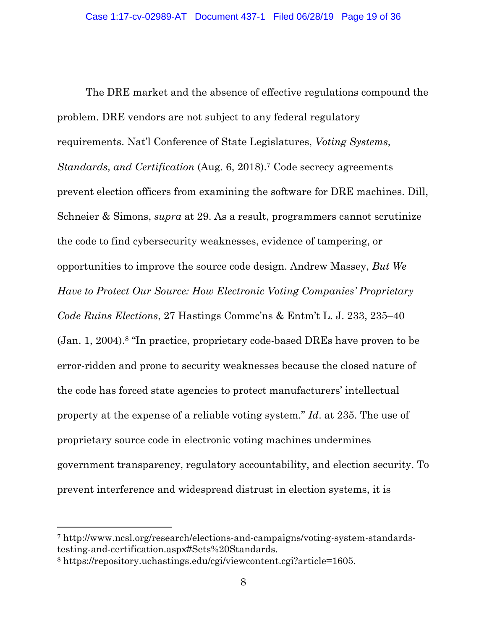The DRE market and the absence of effective regulations compound the problem. DRE vendors are not subject to any federal regulatory requirements. Nat'l Conference of State Legislatures, *Voting Systems, Standards, and Certification* (Aug. 6, 2018).7 Code secrecy agreements prevent election officers from examining the software for DRE machines. Dill, Schneier & Simons, *supra* at 29. As a result, programmers cannot scrutinize the code to find cybersecurity weaknesses, evidence of tampering, or opportunities to improve the source code design. Andrew Massey, *But We Have to Protect Our Source: How Electronic Voting Companies' Proprietary Code Ruins Elections*, 27 Hastings Commc'ns & Entm't L. J. 233, 235–40 (Jan. 1, 2004).8 "In practice, proprietary code-based DREs have proven to be error-ridden and prone to security weaknesses because the closed nature of the code has forced state agencies to protect manufacturers' intellectual property at the expense of a reliable voting system." *Id*. at 235. The use of proprietary source code in electronic voting machines undermines government transparency, regulatory accountability, and election security. To prevent interference and widespread distrust in election systems, it is

<sup>7</sup> http://www.ncsl.org/research/elections-and-campaigns/voting-system-standardstesting-and-certification.aspx#Sets%20Standards.

<sup>8</sup> https://repository.uchastings.edu/cgi/viewcontent.cgi?article=1605.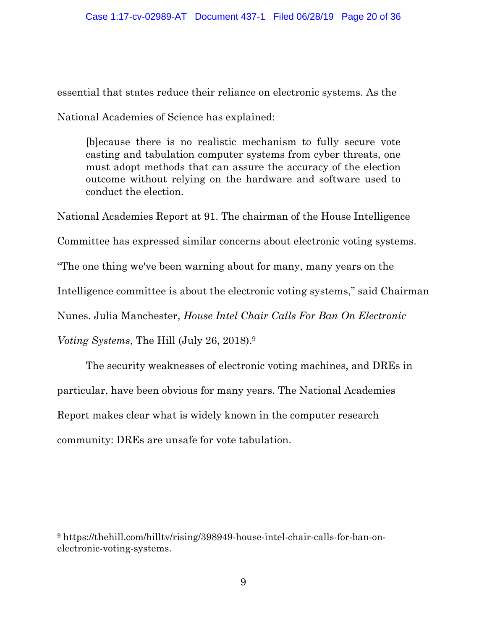essential that states reduce their reliance on electronic systems. As the

National Academies of Science has explained:

[b]ecause there is no realistic mechanism to fully secure vote casting and tabulation computer systems from cyber threats, one must adopt methods that can assure the accuracy of the election outcome without relying on the hardware and software used to conduct the election.

National Academies Report at 91. The chairman of the House Intelligence

Committee has expressed similar concerns about electronic voting systems.

"The one thing we've been warning about for many, many years on the

Intelligence committee is about the electronic voting systems," said Chairman

Nunes. Julia Manchester, *House Intel Chair Calls For Ban On Electronic* 

*Voting Systems*, The Hill (July 26, 2018). 9

The security weaknesses of electronic voting machines, and DREs in particular, have been obvious for many years. The National Academies Report makes clear what is widely known in the computer research community: DREs are unsafe for vote tabulation.

<sup>9</sup> https://thehill.com/hilltv/rising/398949-house-intel-chair-calls-for-ban-onelectronic-voting-systems.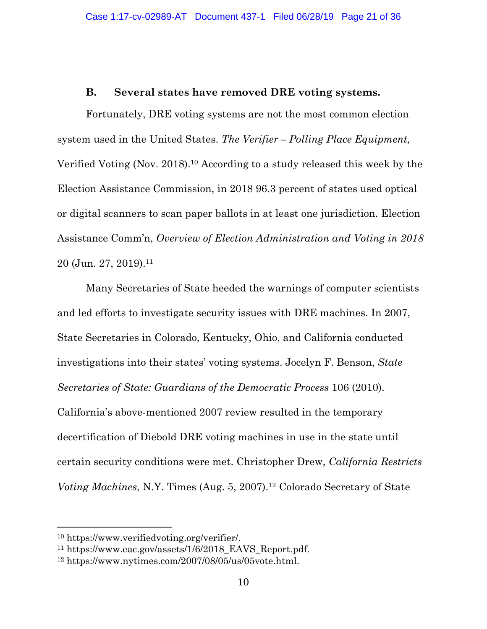#### **B. Several states have removed DRE voting systems.**

Fortunately, DRE voting systems are not the most common election system used in the United States. *The Verifier – Polling Place Equipment,*  Verified Voting (Nov. 2018). <sup>10</sup> According to a study released this week by the Election Assistance Commission, in 2018 96.3 percent of states used optical or digital scanners to scan paper ballots in at least one jurisdiction. Election Assistance Comm'n, *Overview of Election Administration and Voting in 2018* 20 (Jun. 27, 2019).11

Many Secretaries of State heeded the warnings of computer scientists and led efforts to investigate security issues with DRE machines. In 2007, State Secretaries in Colorado, Kentucky, Ohio, and California conducted investigations into their states' voting systems. Jocelyn F. Benson, *State Secretaries of State: Guardians of the Democratic Process* 106 (2010). California's above-mentioned 2007 review resulted in the temporary decertification of Diebold DRE voting machines in use in the state until certain security conditions were met. Christopher Drew, *California Restricts Voting Machines*, N.Y. Times (Aug. 5, 2007).<sup>12</sup> Colorado Secretary of State

<sup>10</sup> https://www.verifiedvoting.org/verifier/.

<sup>11</sup> https://www.eac.gov/assets/1/6/2018\_EAVS\_Report.pdf.

<sup>12</sup> https://www.nytimes.com/2007/08/05/us/05vote.html.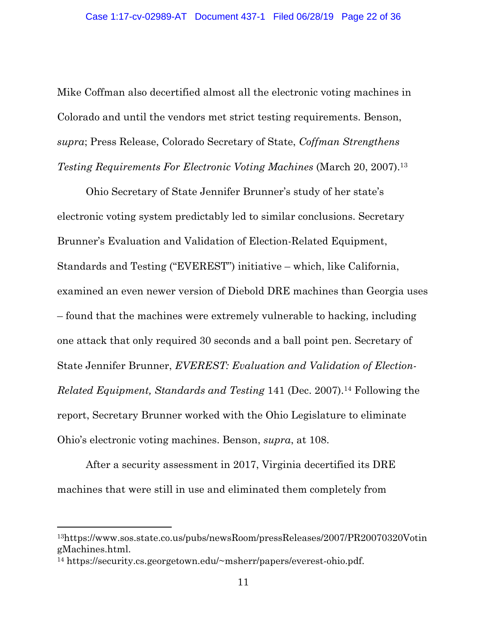Mike Coffman also decertified almost all the electronic voting machines in Colorado and until the vendors met strict testing requirements. Benson, *supra*; Press Release, Colorado Secretary of State, *Coffman Strengthens Testing Requirements For Electronic Voting Machines* (March 20, 2007).13

Ohio Secretary of State Jennifer Brunner's study of her state's electronic voting system predictably led to similar conclusions. Secretary Brunner's Evaluation and Validation of Election-Related Equipment, Standards and Testing ("EVEREST") initiative – which, like California, examined an even newer version of Diebold DRE machines than Georgia uses – found that the machines were extremely vulnerable to hacking, including one attack that only required 30 seconds and a ball point pen. Secretary of State Jennifer Brunner, *EVEREST: Evaluation and Validation of Election-Related Equipment, Standards and Testing* 141 (Dec. 2007).<sup>14</sup> Following the report, Secretary Brunner worked with the Ohio Legislature to eliminate Ohio's electronic voting machines. Benson, *supra*, at 108.

After a security assessment in 2017, Virginia decertified its DRE machines that were still in use and eliminated them completely from

<sup>13</sup>https://www.sos.state.co.us/pubs/newsRoom/pressReleases/2007/PR20070320Votin gMachines.html.

<sup>14</sup> https://security.cs.georgetown.edu/~msherr/papers/everest-ohio.pdf.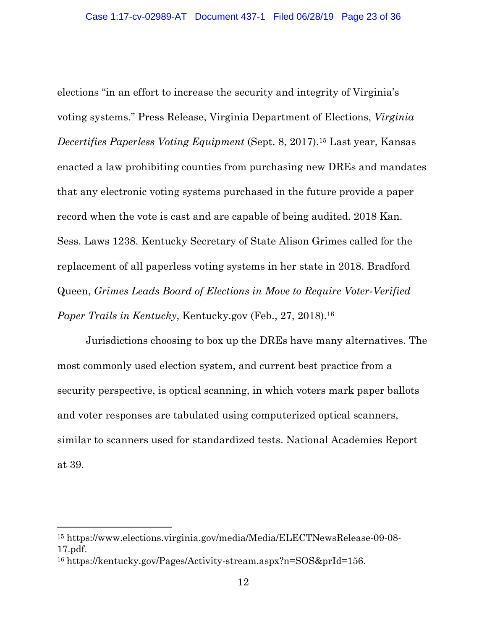elections "in an effort to increase the security and integrity of Virginia's voting systems." Press Release, Virginia Department of Elections, *Virginia Decertifies Paperless Voting Equipment* (Sept. 8, 2017).15 Last year, Kansas enacted a law prohibiting counties from purchasing new DREs and mandates that any electronic voting systems purchased in the future provide a paper record when the vote is cast and are capable of being audited. 2018 Kan. Sess. Laws 1238. Kentucky Secretary of State Alison Grimes called for the replacement of all paperless voting systems in her state in 2018. Bradford Queen, *Grimes Leads Board of Elections in Move to Require Voter-Verified Paper Trails in Kentucky*, Kentucky.gov (Feb., 27, 2018). 16

Jurisdictions choosing to box up the DREs have many alternatives. The most commonly used election system, and current best practice from a security perspective, is optical scanning, in which voters mark paper ballots and voter responses are tabulated using computerized optical scanners, similar to scanners used for standardized tests. National Academies Report at 39.

<sup>15</sup> https://www.elections.virginia.gov/media/Media/ELECTNewsRelease-09-08- 17.pdf.

<sup>16</sup> https://kentucky.gov/Pages/Activity-stream.aspx?n=SOS&prId=156.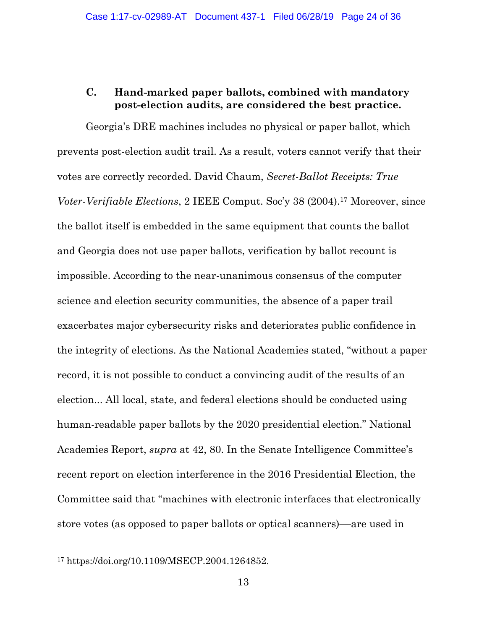# **C. Hand-marked paper ballots, combined with mandatory post-election audits, are considered the best practice.**

Georgia's DRE machines includes no physical or paper ballot, which prevents post-election audit trail. As a result, voters cannot verify that their votes are correctly recorded. David Chaum, *Secret-Ballot Receipts: True Voter-Verifiable Elections*, 2 IEEE Comput. Soc'y 38 (2004).17 Moreover, since the ballot itself is embedded in the same equipment that counts the ballot and Georgia does not use paper ballots, verification by ballot recount is impossible. According to the near-unanimous consensus of the computer science and election security communities, the absence of a paper trail exacerbates major cybersecurity risks and deteriorates public confidence in the integrity of elections. As the National Academies stated, "without a paper record, it is not possible to conduct a convincing audit of the results of an election... All local, state, and federal elections should be conducted using human-readable paper ballots by the 2020 presidential election." National Academies Report, *supra* at 42, 80. In the Senate Intelligence Committee's recent report on election interference in the 2016 Presidential Election, the Committee said that "machines with electronic interfaces that electronically store votes (as opposed to paper ballots or optical scanners)––are used in

<sup>17</sup> https://doi.org/10.1109/MSECP.2004.1264852.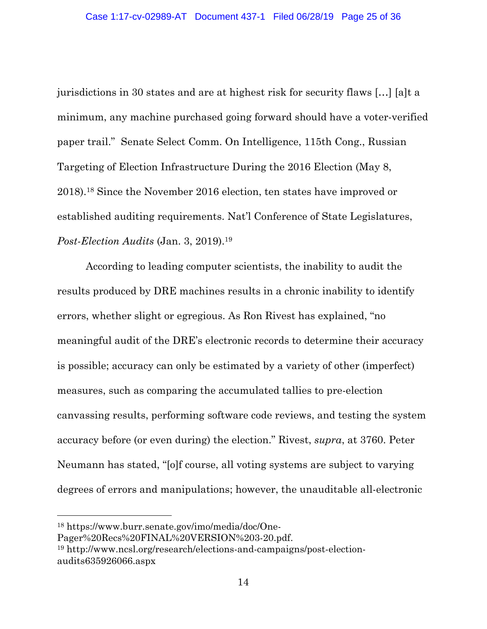jurisdictions in 30 states and are at highest risk for security flaws […] [a]t a minimum, any machine purchased going forward should have a voter-verified paper trail." Senate Select Comm. On Intelligence, 115th Cong., Russian Targeting of Election Infrastructure During the 2016 Election (May 8, 2018).18 Since the November 2016 election, ten states have improved or established auditing requirements. Nat'l Conference of State Legislatures, *Post-Election Audits* (Jan. 3, 2019).19

According to leading computer scientists, the inability to audit the results produced by DRE machines results in a chronic inability to identify errors, whether slight or egregious. As Ron Rivest has explained, "no meaningful audit of the DRE's electronic records to determine their accuracy is possible; accuracy can only be estimated by a variety of other (imperfect) measures, such as comparing the accumulated tallies to pre-election canvassing results, performing software code reviews, and testing the system accuracy before (or even during) the election." Rivest, *supra*, at 3760. Peter Neumann has stated, "[o]f course, all voting systems are subject to varying degrees of errors and manipulations; however, the unauditable all-electronic

<sup>18</sup> https://www.burr.senate.gov/imo/media/doc/One-

Pager%20Recs%20FINAL%20VERSION%203-20.pdf.

<sup>19</sup> http://www.ncsl.org/research/elections-and-campaigns/post-electionaudits635926066.aspx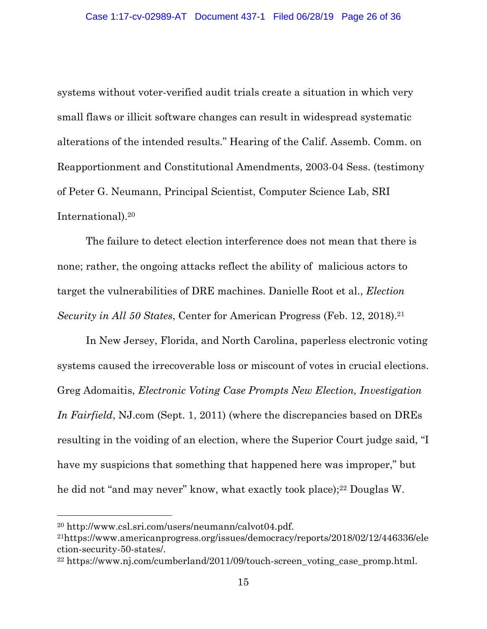systems without voter-verified audit trials create a situation in which very small flaws or illicit software changes can result in widespread systematic alterations of the intended results." Hearing of the Calif. Assemb. Comm. on Reapportionment and Constitutional Amendments, 2003-04 Sess. (testimony of Peter G. Neumann, Principal Scientist, Computer Science Lab, SRI International).20

The failure to detect election interference does not mean that there is none; rather, the ongoing attacks reflect the ability of malicious actors to target the vulnerabilities of DRE machines. Danielle Root et al., *Election Security in All 50 States, Center for American Progress (Feb. 12, 2018).*<sup>21</sup>

In New Jersey, Florida, and North Carolina, paperless electronic voting systems caused the irrecoverable loss or miscount of votes in crucial elections. Greg Adomaitis, *Electronic Voting Case Prompts New Election, Investigation In Fairfield*, NJ.com (Sept. 1, 2011) (where the discrepancies based on DREs resulting in the voiding of an election, where the Superior Court judge said, "I have my suspicions that something that happened here was improper," but he did not "and may never" know, what exactly took place);<sup>22</sup> Douglas W.

<sup>20</sup> http://www.csl.sri.com/users/neumann/calvot04.pdf.

<sup>21</sup>https://www.americanprogress.org/issues/democracy/reports/2018/02/12/446336/ele ction-security-50-states/.

<sup>&</sup>lt;sup>22</sup> https://www.nj.com/cumberland/2011/09/touch-screen\_voting\_case\_promp.html.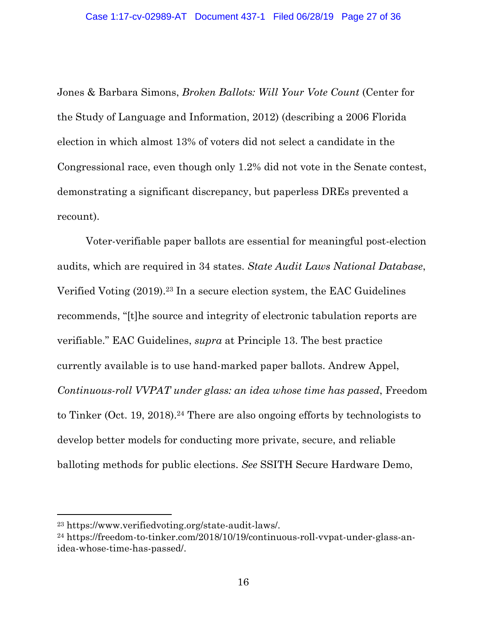Jones & Barbara Simons, *Broken Ballots: Will Your Vote Count* (Center for the Study of Language and Information, 2012) (describing a 2006 Florida election in which almost 13% of voters did not select a candidate in the Congressional race, even though only 1.2% did not vote in the Senate contest, demonstrating a significant discrepancy, but paperless DREs prevented a recount).

Voter-verifiable paper ballots are essential for meaningful post-election audits, which are required in 34 states. *State Audit Laws National Database*, Verified Voting  $(2019).^{23}$  In a secure election system, the EAC Guidelines recommends, "[t]he source and integrity of electronic tabulation reports are verifiable." EAC Guidelines, *supra* at Principle 13. The best practice currently available is to use hand-marked paper ballots. Andrew Appel, *Continuous-roll VVPAT under glass: an idea whose time has passed*, Freedom to Tinker (Oct. 19, 2018).24 There are also ongoing efforts by technologists to develop better models for conducting more private, secure, and reliable balloting methods for public elections. *See* SSITH Secure Hardware Demo,

<sup>23</sup> https://www.verifiedvoting.org/state-audit-laws/.

<sup>24</sup> https://freedom-to-tinker.com/2018/10/19/continuous-roll-vvpat-under-glass-anidea-whose-time-has-passed/.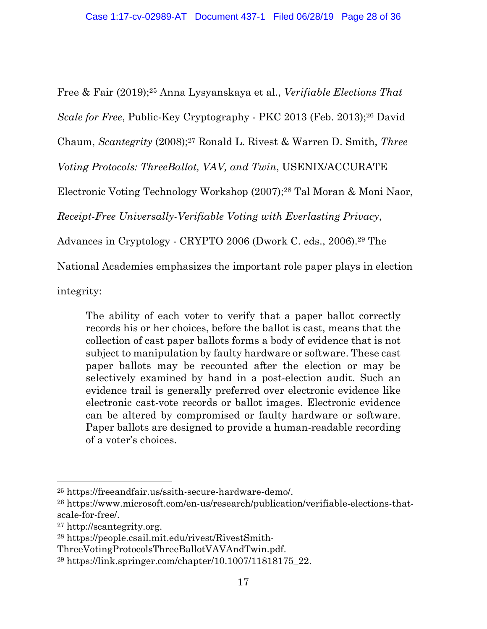Free & Fair (2019);25 Anna Lysyanskaya et al., *Verifiable Elections That* 

*Scale for Free*, Public-Key Cryptography - PKC 2013 (Feb. 2013); <sup>26</sup> David

Chaum, *Scantegrity* (2008); <sup>27</sup> Ronald L. Rivest & Warren D. Smith, *Three* 

*Voting Protocols: ThreeBallot, VAV, and Twin*, USENIX/ACCURATE

Electronic Voting Technology Workshop (2007);28 Tal Moran & Moni Naor,

*Receipt-Free Universally-Verifiable Voting with Everlasting Privacy*,

Advances in Cryptology - CRYPTO 2006 (Dwork C. eds., 2006). <sup>29</sup> The

National Academies emphasizes the important role paper plays in election

integrity:

The ability of each voter to verify that a paper ballot correctly records his or her choices, before the ballot is cast, means that the collection of cast paper ballots forms a body of evidence that is not subject to manipulation by faulty hardware or software. These cast paper ballots may be recounted after the election or may be selectively examined by hand in a post-election audit. Such an evidence trail is generally preferred over electronic evidence like electronic cast-vote records or ballot images. Electronic evidence can be altered by compromised or faulty hardware or software. Paper ballots are designed to provide a human-readable recording of a voter's choices.

<sup>25</sup> https://freeandfair.us/ssith-secure-hardware-demo/.

<sup>26</sup> https://www.microsoft.com/en-us/research/publication/verifiable-elections-thatscale-for-free/.

<sup>27</sup> http://scantegrity.org.

<sup>28</sup> https://people.csail.mit.edu/rivest/RivestSmith-

ThreeVotingProtocolsThreeBallotVAVAndTwin.pdf.

<sup>&</sup>lt;sup>29</sup> https://link.springer.com/chapter/10.1007/11818175  $22$ .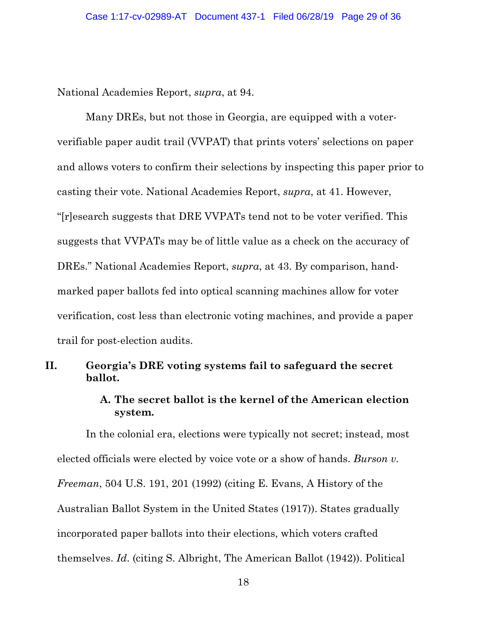National Academies Report, *supra*, at 94.

Many DREs, but not those in Georgia, are equipped with a voterverifiable paper audit trail (VVPAT) that prints voters' selections on paper and allows voters to confirm their selections by inspecting this paper prior to casting their vote. National Academies Report, *supra*, at 41. However, "[r]esearch suggests that DRE VVPATs tend not to be voter verified. This suggests that VVPATs may be of little value as a check on the accuracy of DREs." National Academies Report, *supra*, at 43. By comparison, handmarked paper ballots fed into optical scanning machines allow for voter verification, cost less than electronic voting machines, and provide a paper trail for post-election audits.

#### **II. Georgia's DRE voting systems fail to safeguard the secret ballot.**

#### **A. The secret ballot is the kernel of the American election system.**

In the colonial era, elections were typically not secret; instead, most elected officials were elected by voice vote or a show of hands. *Burson v. Freeman*, 504 U.S. 191, 201 (1992) (citing E. Evans, A History of the Australian Ballot System in the United States (1917)). States gradually incorporated paper ballots into their elections, which voters crafted themselves. *Id*. (citing S. Albright, The American Ballot (1942)). Political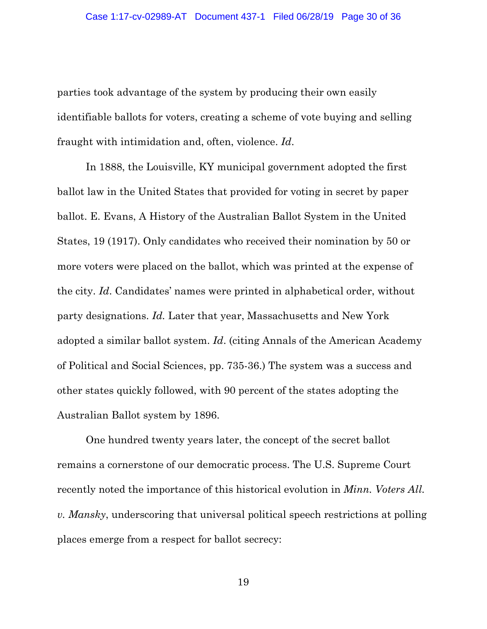parties took advantage of the system by producing their own easily identifiable ballots for voters, creating a scheme of vote buying and selling fraught with intimidation and, often, violence. *Id*.

In 1888, the Louisville, KY municipal government adopted the first ballot law in the United States that provided for voting in secret by paper ballot. E. Evans, A History of the Australian Ballot System in the United States, 19 (1917). Only candidates who received their nomination by 50 or more voters were placed on the ballot, which was printed at the expense of the city. *Id*. Candidates' names were printed in alphabetical order, without party designations. *Id.* Later that year, Massachusetts and New York adopted a similar ballot system. *Id*. (citing Annals of the American Academy of Political and Social Sciences, pp. 735-36.) The system was a success and other states quickly followed, with 90 percent of the states adopting the Australian Ballot system by 1896.

One hundred twenty years later, the concept of the secret ballot remains a cornerstone of our democratic process. The U.S. Supreme Court recently noted the importance of this historical evolution in *Minn. Voters All. v. Mansky*, underscoring that universal political speech restrictions at polling places emerge from a respect for ballot secrecy: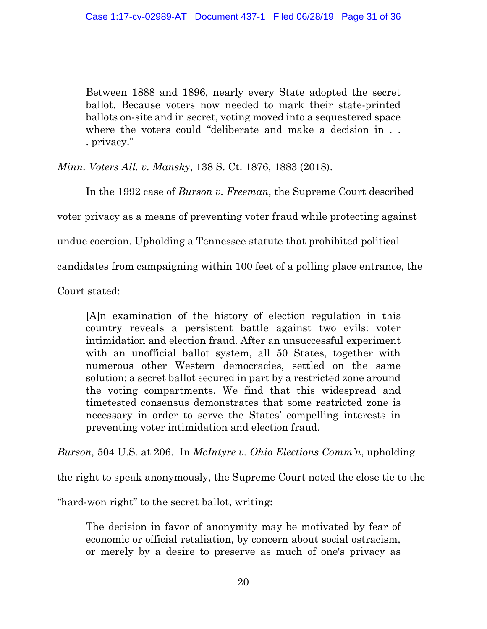Between 1888 and 1896, nearly every State adopted the secret ballot. Because voters now needed to mark their state-printed ballots on-site and in secret, voting moved into a sequestered space where the voters could "deliberate and make a decision in . . . privacy."

*Minn. Voters All. v. Mansky*, 138 S. Ct. 1876, 1883 (2018).

In the 1992 case of *Burson v. Freeman*, the Supreme Court described voter privacy as a means of preventing voter fraud while protecting against undue coercion. Upholding a Tennessee statute that prohibited political candidates from campaigning within 100 feet of a polling place entrance, the

Court stated:

[A]n examination of the history of election regulation in this country reveals a persistent battle against two evils: voter intimidation and election fraud. After an unsuccessful experiment with an unofficial ballot system, all 50 States, together with numerous other Western democracies, settled on the same solution: a secret ballot secured in part by a restricted zone around the voting compartments. We find that this widespread and timetested consensus demonstrates that some restricted zone is necessary in order to serve the States' compelling interests in preventing voter intimidation and election fraud.

*Burson,* 504 U.S*.* at 206. In *McIntyre v. Ohio Elections Comm'n*, upholding

the right to speak anonymously, the Supreme Court noted the close tie to the

"hard-won right" to the secret ballot, writing:

The decision in favor of anonymity may be motivated by fear of economic or official retaliation, by concern about social ostracism, or merely by a desire to preserve as much of one's privacy as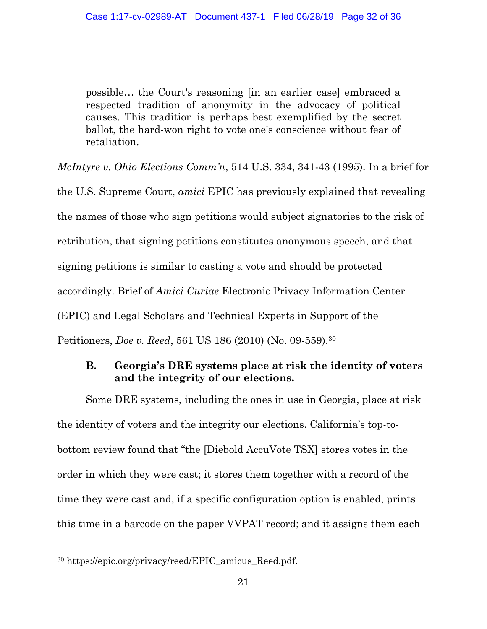possible… the Court's reasoning [in an earlier case] embraced a respected tradition of anonymity in the advocacy of political causes. This tradition is perhaps best exemplified by the secret ballot, the hard-won right to vote one's conscience without fear of retaliation.

*McIntyre v. Ohio Elections Comm'n*, 514 U.S. 334, 341-43 (1995). In a brief for

the U.S. Supreme Court, *amici* EPIC has previously explained that revealing the names of those who sign petitions would subject signatories to the risk of retribution, that signing petitions constitutes anonymous speech, and that signing petitions is similar to casting a vote and should be protected accordingly. Brief of *Amici Curiae* Electronic Privacy Information Center (EPIC) and Legal Scholars and Technical Experts in Support of the Petitioners, *Doe v. Reed*, 561 US 186 (2010) (No. 09-559).30

# **B. Georgia's DRE systems place at risk the identity of voters and the integrity of our elections.**

Some DRE systems, including the ones in use in Georgia, place at risk the identity of voters and the integrity our elections. California's top-tobottom review found that "the [Diebold AccuVote TSX] stores votes in the order in which they were cast; it stores them together with a record of the time they were cast and, if a specific configuration option is enabled, prints this time in a barcode on the paper VVPAT record; and it assigns them each

<sup>30</sup> https://epic.org/privacy/reed/EPIC\_amicus\_Reed.pdf.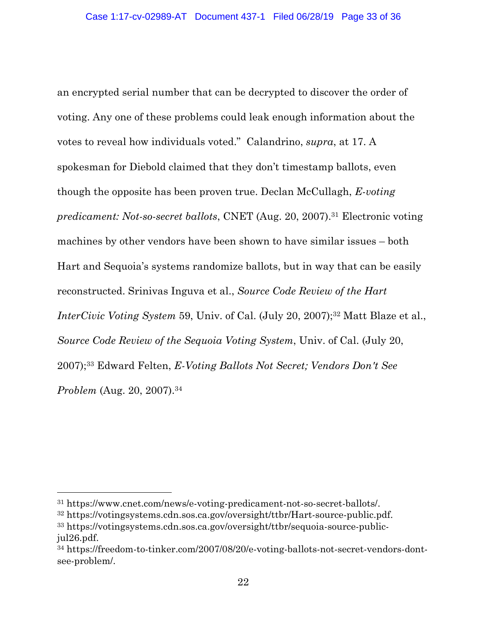an encrypted serial number that can be decrypted to discover the order of voting. Any one of these problems could leak enough information about the votes to reveal how individuals voted." Calandrino, *supra*, at 17. A spokesman for Diebold claimed that they don't timestamp ballots, even though the opposite has been proven true. Declan McCullagh, *E-voting predicament: Not-so-secret ballots*, CNET (Aug. 20, 2007).31 Electronic voting machines by other vendors have been shown to have similar issues – both Hart and Sequoia's systems randomize ballots, but in way that can be easily reconstructed. Srinivas Inguva et al., *Source Code Review of the Hart InterCivic Voting System* 59, Univ. of Cal. (July 20, 2007);<sup>32</sup> Matt Blaze et al., *Source Code Review of the Sequoia Voting System*, Univ. of Cal. (July 20, 2007);33 Edward Felten, *E-Voting Ballots Not Secret; Vendors Don't See Problem* (Aug. 20, 2007).34

<sup>31</sup> https://www.cnet.com/news/e-voting-predicament-not-so-secret-ballots/.

<sup>32</sup> https://votingsystems.cdn.sos.ca.gov/oversight/ttbr/Hart-source-public.pdf.

<sup>33</sup> https://votingsystems.cdn.sos.ca.gov/oversight/ttbr/sequoia-source-publicjul26.pdf.

<sup>34</sup> https://freedom-to-tinker.com/2007/08/20/e-voting-ballots-not-secret-vendors-dontsee-problem/.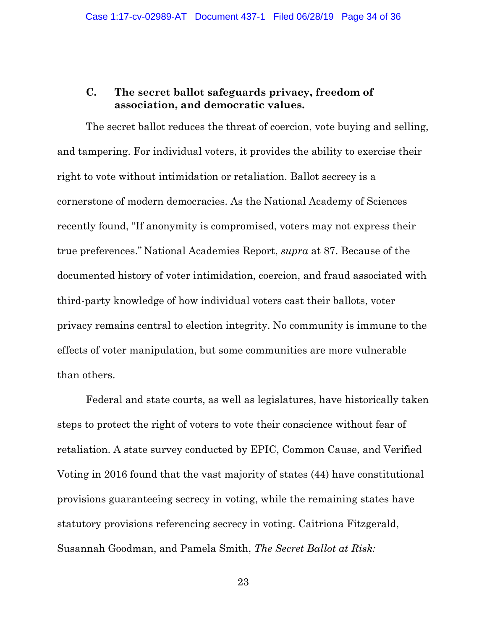# **C. The secret ballot safeguards privacy, freedom of association, and democratic values.**

The secret ballot reduces the threat of coercion, vote buying and selling, and tampering. For individual voters, it provides the ability to exercise their right to vote without intimidation or retaliation. Ballot secrecy is a cornerstone of modern democracies. As the National Academy of Sciences recently found, "If anonymity is compromised, voters may not express their true preferences." National Academies Report, *supra* at 87. Because of the documented history of voter intimidation, coercion, and fraud associated with third-party knowledge of how individual voters cast their ballots, voter privacy remains central to election integrity. No community is immune to the effects of voter manipulation, but some communities are more vulnerable than others.

Federal and state courts, as well as legislatures, have historically taken steps to protect the right of voters to vote their conscience without fear of retaliation. A state survey conducted by EPIC, Common Cause, and Verified Voting in 2016 found that the vast majority of states (44) have constitutional provisions guaranteeing secrecy in voting, while the remaining states have statutory provisions referencing secrecy in voting. Caitriona Fitzgerald, Susannah Goodman, and Pamela Smith, *The Secret Ballot at Risk:*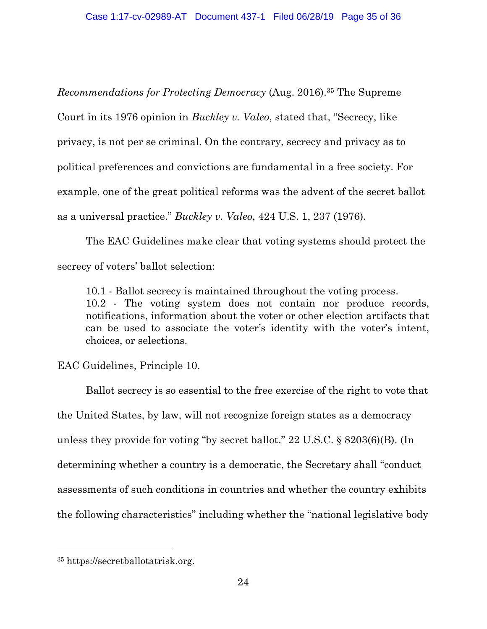*Recommendations for Protecting Democracy* (Aug. 2016).35 The Supreme Court in its 1976 opinion in *Buckley v. Valeo*, stated that, "Secrecy, like privacy, is not per se criminal. On the contrary, secrecy and privacy as to political preferences and convictions are fundamental in a free society. For example, one of the great political reforms was the advent of the secret ballot as a universal practice." *Buckley v. Valeo*, 424 U.S. 1, 237 (1976).

The EAC Guidelines make clear that voting systems should protect the secrecy of voters' ballot selection:

10.1 - Ballot secrecy is maintained throughout the voting process. 10.2 - The voting system does not contain nor produce records, notifications, information about the voter or other election artifacts that can be used to associate the voter's identity with the voter's intent, choices, or selections.

EAC Guidelines, Principle 10.

Ballot secrecy is so essential to the free exercise of the right to vote that the United States, by law, will not recognize foreign states as a democracy unless they provide for voting "by secret ballot." 22 U.S.C. § 8203(6)(B). (In determining whether a country is a democratic, the Secretary shall "conduct assessments of such conditions in countries and whether the country exhibits the following characteristics" including whether the "national legislative body

<sup>35</sup> https://secretballotatrisk.org.